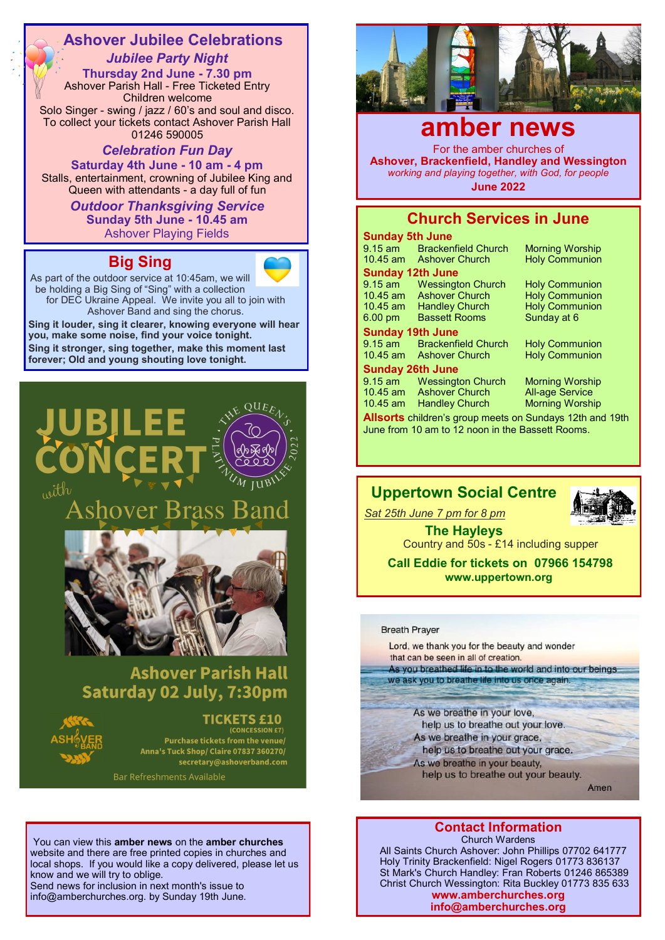### **Ashover Jubilee Celebrations** *Jubilee Party Night*

**Thursday 2nd June - 7.30 pm** Ashover Parish Hall - Free Ticketed Entry Children welcome Solo Singer - swing / jazz / 60's and soul and disco. To collect your tickets contact Ashover Parish Hall 01246 590005

### *Celebration Fun Day*

**Saturday 4th June - 10 am - 4 pm** Stalls, entertainment, crowning of Jubilee King and Queen with attendants - a day full of fun

#### *Outdoor Thanksgiving Service* **Sunday 5th June - 10.45 am** Ashover Playing Fields

## **Big Sing**

As part of the outdoor service at 10:45am, we will be holding a Big Sing of "Sing" with a collection

for DEC Ukraine Appeal. We invite you all to join with Ashover Band and sing the chorus.

**Sing it louder, sing it clearer, knowing everyone will hear you, make some noise, find your voice tonight. Sing it stronger, sing together, make this moment last forever; Old and young shouting love tonight.** 



# **Ashover Parish Hall** Saturday 02 July, 7:30pm



#### **TICKETS £10** (CONCESSION £7)

Purchase tickets from the venue/ Anna's Tuck Shop/ Claire 07837 360270/ secretary@ashoverband.com

Bar Refreshments Available

You can view this **amber news** on the **amber churches** website and there are free printed copies in churches and local shops. If you would like a copy delivered, please let us know and we will try to oblige. Send news for inclusion in next month's issue to info@amberchurches.org. by Sunday 19th June.



# **amber news**

For the amber churches of **Ashover, Brackenfield, Handley and Wessington** *working and playing together, with God, for people* **June 2022**

### **Church Services in June**

| <b>Sunday 5th June</b>                                                                                              |                            |                        |
|---------------------------------------------------------------------------------------------------------------------|----------------------------|------------------------|
| $9.15$ am                                                                                                           | <b>Brackenfield Church</b> | <b>Morning Worship</b> |
| $10.45$ am                                                                                                          | <b>Ashover Church</b>      | <b>Holy Communion</b>  |
| <b>Sunday 12th June</b>                                                                                             |                            |                        |
| $9.15$ am                                                                                                           | <b>Wessington Church</b>   | <b>Holy Communion</b>  |
| $10.45$ am                                                                                                          | <b>Ashover Church</b>      | <b>Holy Communion</b>  |
| $10.45$ am                                                                                                          | <b>Handley Church</b>      | <b>Holy Communion</b>  |
| $6.00 \text{ pm}$                                                                                                   | <b>Bassett Rooms</b>       | Sunday at 6            |
| <b>Sunday 19th June</b>                                                                                             |                            |                        |
| $9.15$ am                                                                                                           | <b>Brackenfield Church</b> | <b>Holy Communion</b>  |
| $10.45$ am                                                                                                          | <b>Ashover Church</b>      | <b>Holy Communion</b>  |
| <b>Sunday 26th June</b>                                                                                             |                            |                        |
| $9.15$ am                                                                                                           | <b>Wessington Church</b>   | <b>Morning Worship</b> |
|                                                                                                                     | 10.45 am Ashover Church    | <b>All-age Service</b> |
| $10.45$ am                                                                                                          | <b>Handley Church</b>      | <b>Morning Worship</b> |
| <b>Allsorts</b> children's group meets on Sundays 12th and 19th<br>June from 10 am to 12 noon in the Bassett Rooms. |                            |                        |

# **Uppertown Social Centre**



*Sat 25th June 7 pm for 8 pm* **The Hayleys**

Country and 50s - £14 including supper

**Call Eddie for tickets on 07966 154798 www.uppertown.org**

#### **Breath Prayer**

Lord, we thank you for the beauty and wonder that can be seen in all of creation. As you breathed life in to the world and into our beings we ask you to breathe life into us once again.

As we breathe in your love, help us to breathe out your love. As we breathe in your grace, help us to breathe out your grace. As we breathe in your beauty, help us to breathe out your beauty.

Amen

### **Contact Information**

Church Wardens All Saints Church Ashover: John Phillips 07702 641777 Holy Trinity Brackenfield: Nigel Rogers 01773 836137 St Mark's Church Handley: Fran Roberts 01246 865389 Christ Church Wessington: Rita Buckley 01773 835 633 **www.amberchurches.org info@amberchurches.org**